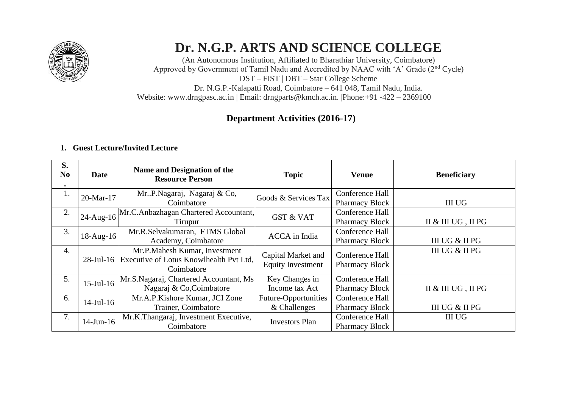

# **Dr. N.G.P. ARTS AND SCIENCE COLLEGE**

(An Autonomous Institution, Affiliated to Bharathiar University, Coimbatore) Approved by Government of Tamil Nadu and Accredited by NAAC with 'A' Grade (2nd Cycle) DST – FIST | DBT – Star College Scheme Dr. N.G.P.-Kalapatti Road, Coimbatore – 641 048, Tamil Nadu, India. Website: [www.drngpasc.ac.in |](http://www.drngpasc.ac.in/) Email: [drngparts@kmch.ac.in. |P](mailto:drngparts@kmch.ac.in)hone:+91 -422 – 2369100

# **Department Activities (2016-17)**

#### **1. Guest Lecture/Invited Lecture**

| S.<br>N <sub>o</sub><br>$\bullet$ | <b>Date</b>     | Name and Designation of the<br><b>Resource Person</b>                                  | <b>Topic</b>                                   | <b>Venue</b>                             | <b>Beneficiary</b> |
|-----------------------------------|-----------------|----------------------------------------------------------------------------------------|------------------------------------------------|------------------------------------------|--------------------|
| 1.                                | 20-Mar-17       | Mr. P. Nagaraj, Nagaraj & Co,<br>Coimbatore                                            | Goods & Services Tax                           | Conference Hall<br><b>Pharmacy Block</b> | <b>III UG</b>      |
| 2.                                | $24$ -Aug-16    | Mr.C.Anbazhagan Chartered Accountant,<br>Tirupur                                       | <b>GST &amp; VAT</b>                           | Conference Hall<br><b>Pharmacy Block</b> | II & III UG, II PG |
| 3.                                | 18-Aug-16       | Mr.R.Selvakumaran, FTMS Global<br>Academy, Coimbatore                                  | <b>ACCA</b> in India                           | Conference Hall<br><b>Pharmacy Block</b> | III UG & II PG     |
| 4.                                | $28$ -Jul-16    | Mr.P.Mahesh Kumar, Investment<br>Executive of Lotus Knowlhealth Pvt Ltd,<br>Coimbatore | Capital Market and<br><b>Equity Investment</b> | Conference Hall<br><b>Pharmacy Block</b> | III UG & II PG     |
| 5.                                | $15$ -Jul-16    | Mr.S.Nagaraj, Chartered Accountant, Ms<br>Nagaraj & Co, Coimbatore                     | Key Changes in<br>Income tax Act               | Conference Hall<br><b>Pharmacy Block</b> | II & III UG, II PG |
| 6.                                | $14$ -Jul-16    | Mr.A.P.Kishore Kumar, JCI Zone<br>Trainer, Coimbatore                                  | Future-Opportunities<br>& Challenges           | Conference Hall<br><b>Pharmacy Block</b> | III UG & II PG     |
| 7.                                | $14$ -Jun- $16$ | Mr.K.Thangaraj, Investment Executive,<br>Coimbatore                                    | <b>Investors Plan</b>                          | Conference Hall<br><b>Pharmacy Block</b> | <b>III UG</b>      |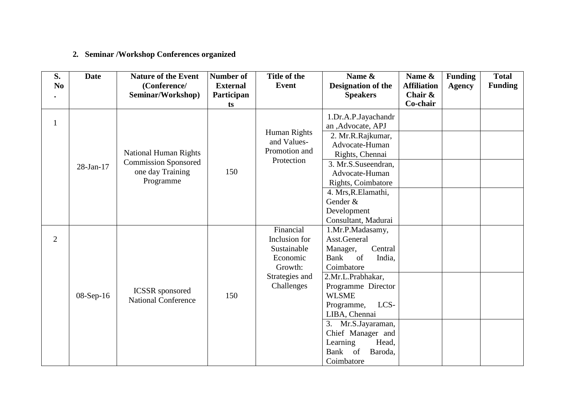## **2. Seminar /Workshop Conferences organized**

| S.             | <b>Date</b> | <b>Nature of the Event</b>                           | Number of       | Title of the   | Name &                | Name &             | <b>Funding</b> | <b>Total</b>   |
|----------------|-------------|------------------------------------------------------|-----------------|----------------|-----------------------|--------------------|----------------|----------------|
| N <sub>o</sub> |             | (Conference/                                         | <b>External</b> | Event          | Designation of the    | <b>Affiliation</b> | <b>Agency</b>  | <b>Funding</b> |
|                |             | Seminar/Workshop)                                    | Participan      |                | <b>Speakers</b>       | Chair &            |                |                |
|                |             |                                                      | ts              |                |                       | Co-chair           |                |                |
|                |             |                                                      |                 |                | 1.Dr.A.P.Jayachandr   |                    |                |                |
| $\mathbf{1}$   |             |                                                      |                 |                | an ,Advocate, APJ     |                    |                |                |
|                |             |                                                      |                 | Human Rights   | 2. Mr.R.Rajkumar,     |                    |                |                |
|                |             |                                                      |                 | and Values-    | Advocate-Human        |                    |                |                |
|                |             | <b>National Human Rights</b>                         |                 | Promotion and  | Rights, Chennai       |                    |                |                |
|                | 28-Jan-17   | <b>Commission Sponsored</b>                          |                 | Protection     | 3. Mr.S.Suseendran,   |                    |                |                |
|                |             | one day Training                                     | 150             |                | Advocate-Human        |                    |                |                |
|                |             | Programme                                            |                 |                | Rights, Coimbatore    |                    |                |                |
|                |             |                                                      |                 |                | 4. Mrs, R. Elamathi,  |                    |                |                |
|                |             |                                                      |                 |                | Gender &              |                    |                |                |
|                |             |                                                      |                 |                | Development           |                    |                |                |
|                |             |                                                      |                 |                | Consultant, Madurai   |                    |                |                |
|                |             |                                                      |                 | Financial      | 1.Mr.P.Madasamy,      |                    |                |                |
| $\overline{2}$ |             |                                                      |                 | Inclusion for  | Asst.General          |                    |                |                |
|                |             |                                                      |                 | Sustainable    | Manager,<br>Central   |                    |                |                |
|                |             | <b>ICSSR</b> sponsored<br><b>National Conference</b> | 150             | Economic       | Bank<br>of<br>India,  |                    |                |                |
|                |             |                                                      |                 | Growth:        | Coimbatore            |                    |                |                |
|                |             |                                                      |                 | Strategies and | 2.Mr.L.Prabhakar,     |                    |                |                |
|                |             |                                                      |                 | Challenges     | Programme Director    |                    |                |                |
|                | 08-Sep-16   |                                                      |                 |                | <b>WLSME</b>          |                    |                |                |
|                |             |                                                      |                 |                | Programme,<br>LCS-    |                    |                |                |
|                |             |                                                      |                 |                | LIBA, Chennai         |                    |                |                |
|                |             |                                                      |                 |                | Mr.S.Jayaraman,<br>3. |                    |                |                |
|                |             |                                                      |                 |                | Chief Manager and     |                    |                |                |
|                |             |                                                      |                 |                | Learning<br>Head,     |                    |                |                |
|                |             |                                                      |                 |                | of<br>Bank<br>Baroda, |                    |                |                |
|                |             |                                                      |                 |                | Coimbatore            |                    |                |                |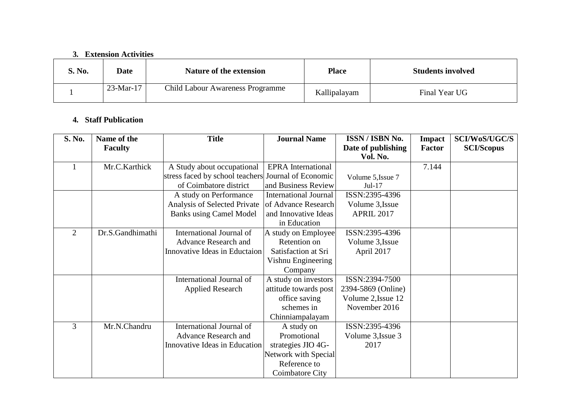#### **3. Extension Activities**

| <b>S. No.</b> | Date        | <b>Nature of the extension</b>          | <b>Place</b> | <b>Students involved</b> |
|---------------|-------------|-----------------------------------------|--------------|--------------------------|
|               | $23-Mar-17$ | <b>Child Labour Awareness Programme</b> | Kallipalayam | Final Year UG            |

#### **4. Staff Publication**

| S. No. | Name of the      | <b>Title</b>                                        | <b>Journal Name</b>       | ISSN / ISBN No.                | <b>Impact</b> | <b>SCI/WoS/UGC/S</b> |
|--------|------------------|-----------------------------------------------------|---------------------------|--------------------------------|---------------|----------------------|
|        | <b>Faculty</b>   |                                                     |                           | Date of publishing<br>Vol. No. | <b>Factor</b> | <b>SCI/Scopus</b>    |
|        | Mr.C.Karthick    | A Study about occupational                          | <b>EPRA</b> International |                                | 7.144         |                      |
|        |                  | stress faced by school teachers Journal of Economic |                           | Volume 5, Issue 7              |               |                      |
|        |                  | of Coimbatore district                              | and Business Review       | $Jul-17$                       |               |                      |
|        |                  | A study on Performance                              | International Journal     | ISSN:2395-4396                 |               |                      |
|        |                  | Analysis of Selected Private                        | of Advance Research       | Volume 3, Issue                |               |                      |
|        |                  | <b>Banks using Camel Model</b>                      | and Innovative Ideas      | <b>APRIL 2017</b>              |               |                      |
|        |                  |                                                     | in Education              |                                |               |                      |
| 2      | Dr.S.Gandhimathi | International Journal of                            | A study on Employee       | ISSN:2395-4396                 |               |                      |
|        |                  | <b>Advance Research and</b>                         | Retention on              | Volume 3, Issue                |               |                      |
|        |                  | Innovative Ideas in Eductaion                       | Satisfaction at Sri       | April 2017                     |               |                      |
|        |                  |                                                     | Vishnu Engineering        |                                |               |                      |
|        |                  |                                                     | Company                   |                                |               |                      |
|        |                  | International Journal of                            | A study on investors      | ISSN:2394-7500                 |               |                      |
|        |                  | <b>Applied Research</b>                             | attitude towards post     | 2394-5869 (Online)             |               |                      |
|        |                  |                                                     | office saving             | Volume 2, Issue 12             |               |                      |
|        |                  |                                                     | schemes in                | November 2016                  |               |                      |
|        |                  |                                                     | Chinniampalayam           |                                |               |                      |
| 3      | Mr.N.Chandru     | International Journal of                            | A study on                | ISSN:2395-4396                 |               |                      |
|        |                  | <b>Advance Research and</b>                         | Promotional               | Volume 3, Issue 3              |               |                      |
|        |                  | Innovative Ideas in Education                       | strategies JIO 4G-        | 2017                           |               |                      |
|        |                  |                                                     | Network with Special      |                                |               |                      |
|        |                  |                                                     | Reference to              |                                |               |                      |
|        |                  |                                                     | Coimbatore City           |                                |               |                      |